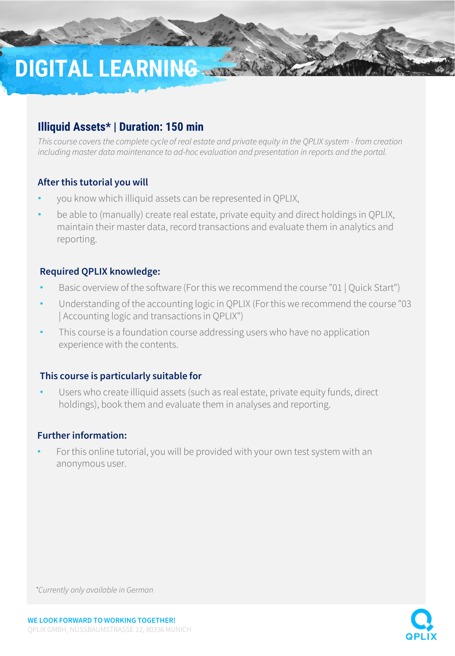# **DIGITAL LEARNING**

# **Illiquid Assets\* | Duration: 150 min**

*This course covers the complete cycle of real estate and private equity in the QPLIX system - from creation including master data maintenance to ad-hoc evaluation and presentation in reports and the portal.*

#### **After this tutorial you will**

- you know which illiquid assets can be represented in QPLIX,
- be able to (manually) create real estate, private equity and direct holdings in QPLIX, maintain their master data, record transactions and evaluate them in analytics and reporting.

#### **Required QPLIX knowledge:**

- Basic overview of the software (For this we recommend the course "01 | Quick Start")
- Understanding of the accounting logic in QPLIX (For this we recommend the course "03 | Accounting logic and transactions in QPLIX")
- This course is a foundation course addressing users who have no application experience with the contents.

#### **This course is particularly suitable for**

Users who create illiquid assets (such as real estate, private equity funds, direct holdings), book them and evaluate them in analyses and reporting.

#### **Further information:**

• For this online tutorial, you will be provided with your own test system with an anonymous user.



*\*Currently only available in German*